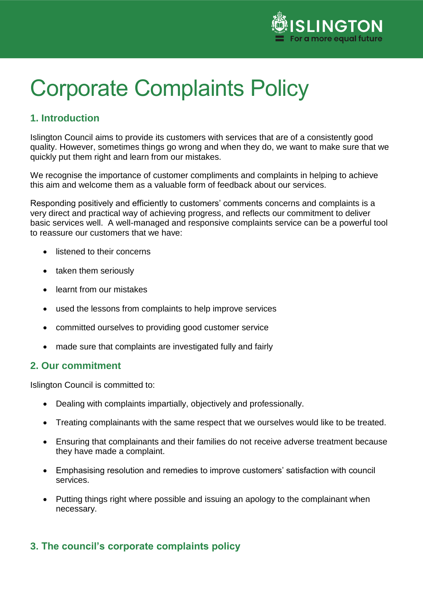

# Corporate Complaints Policy

# **1. Introduction**

Islington Council aims to provide its customers with services that are of a consistently good quality. However, sometimes things go wrong and when they do, we want to make sure that we quickly put them right and learn from our mistakes.

We recognise the importance of customer compliments and complaints in helping to achieve this aim and welcome them as a valuable form of feedback about our services.

Responding positively and efficiently to customers' comments concerns and complaints is a very direct and practical way of achieving progress, and reflects our commitment to deliver basic services well. A well-managed and responsive complaints service can be a powerful tool to reassure our customers that we have:

- listened to their concerns
- taken them seriously
- learnt from our mistakes
- used the lessons from complaints to help improve services
- committed ourselves to providing good customer service
- made sure that complaints are investigated fully and fairly

## **2. Our commitment**

Islington Council is committed to:

- Dealing with complaints impartially, objectively and professionally.
- Treating complainants with the same respect that we ourselves would like to be treated.
- Ensuring that complainants and their families do not receive adverse treatment because they have made a complaint.
- Emphasising resolution and remedies to improve customers' satisfaction with council services.
- Putting things right where possible and issuing an apology to the complainant when necessary.

# **3. The council's corporate complaints policy**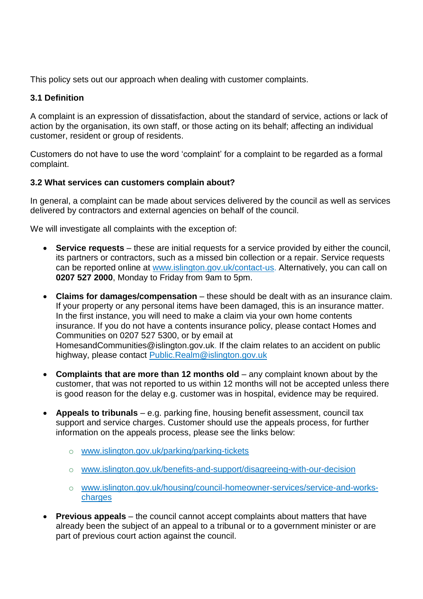This policy sets out our approach when dealing with customer complaints.

## **3.1 Definition**

A complaint is an expression of dissatisfaction, about the standard of service, actions or lack of action by the organisation, its own staff, or those acting on its behalf; affecting an individual customer, resident or group of residents.

Customers do not have to use the word 'complaint' for a complaint to be regarded as a formal complaint.

## **3.2 What services can customers complain about?**

In general, a complaint can be made about services delivered by the council as well as services delivered by contractors and external agencies on behalf of the council.

We will investigate all complaints with the exception of:

- **Service requests** these are initial requests for a service provided by either the council, its partners or contractors, such as a missed bin collection or a repair. Service requests can be reported online at [www.islington.gov.uk/contact-us](http://www.islington.gov.uk/contact-us). Alternatively, you can call on **0207 527 2000**, Monday to Friday from 9am to 5pm.
- **Claims for damages/compensation** these should be dealt with as an insurance claim. If your property or any personal items have been damaged, this is an insurance matter. In the first instance, you will need to make a claim via your own home contents insurance. If you do not have a contents insurance policy, please contact Homes and Communities on 0207 527 5300, or by email at HomesandCommunities@islington.gov.uk. If the claim relates to an accident on public highway, please contact [Public.Realm@islington.gov.uk](mailto:Public.Realm@islington.gov.uk)
- **Complaints that are more than 12 months old** any complaint known about by the customer, that was not reported to us within 12 months will not be accepted unless there is good reason for the delay e.g. customer was in hospital, evidence may be required.
- **Appeals to tribunals** e.g. parking fine, housing benefit assessment, council tax support and service charges. Customer should use the appeals process, for further information on the appeals process, please see the links below:
	- o [www.islington.gov.uk/parking/parking-tickets](https://www.islington.gov.uk/parking/parking-tickets)
	- o [www.islington.gov.uk/benefits-and-support/disagreeing-with-our-decision](http://www.islington.gov.uk/benefits-and-support/disagreeing-with-our-decision)
	- o [www.islington.gov.uk/housing/council-homeowner-services/service-and-works](https://www.islington.gov.uk/housing/council-homeowner-services/service-and-works-charges)charges
- **Previous appeals** the council cannot accept complaints about matters that have already been the subject of an appeal to a tribunal or to a government minister or are part of previous court action against the council.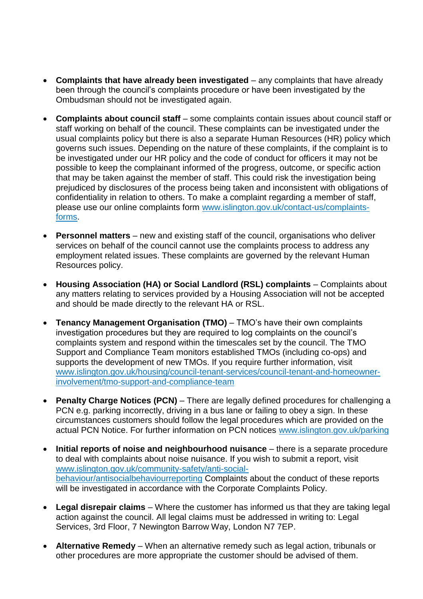- **Complaints that have already been investigated** any [complaints that have alr](mailto:FOIA@islington.gov.uk)eady been through the council's complaints procedure or have been investigated by the Ombudsman should not be investigated again.
- **Complaints about council staff** some complaints contain issues about council staff or staff working on behalf of the council. These complaints can be investigated under the usual complaints policy but there is also a separate Human Resources (HR) policy which governs such issues. Depending on the nature of these complaints, if the complaint is to be investigated under our HR policy and the code of conduct for officers it may not be possible to keep the complainant informed of the progress, outcome, or specific action that may be taken against the member of staff. This could risk the investigation being prejudiced by disclosures of the process being taken and inconsistent with obligations of confidentiality in relation to others. To make a complaint regarding a member of staff, please use our online complaints form [www.islington.gov.uk/contact-us/complaints](http://www.islington.gov.uk/contact-us/complaints-forms)forms.
- **Personnel matters** new and existing staff of the council, organisations who deliver services on behalf of the council cannot use the complaints process to address any employment related issues. These complaints are governed by the relevant Human Resources policy.
- **Housing Association (HA) or Social Landlord (RSL) complaints** Complaints about any matters relating to services provided by a Housing Association will not be accepted and should be made directly to the relevant HA or RSL.
- **Tenancy Management Organisation (TMO)** TMO's have their own complaints investigation procedures but they are required to log complaints on the council's complaints system and respond within the timescales set by the council. The TMO Support and Compliance Team monitors established TMOs (including co-ops) and supports the development of new TMOs. If you require further information, visit [www.islington.gov.uk/housing/council-tenant-services/council-tenant-and-homeowner](https://www.islington.gov.uk/housing/council-tenant-services/council-tenant-and-homeowner-involvement/tmo-support-and-compliance-team)involvement/tmo-support-and-compliance-team
- **Penalty Charge Notices (PCN)** There are legally defined procedures for challenging a PCN e.g. parking incorrectly, driving in a bus lane or failing to obey a sign. In these circumstances customers should follow the legal procedures which are provided on the actual PCN Notice. For further information on PCN notice[s www.islington.gov.uk/parking](http://www.islington.gov.uk/parking)
- **Initial reports of noise and neighbourhood nuisance** there is a separate procedure to deal with complaints about noise nuisance. If you wish to submit a report, visit [www.islington.gov.uk/community-safety/anti-social](http://www.islington.gov.uk/community-safety/anti-social-behaviour/antisocialbehaviourreporting)behaviour/antisocialbehaviourreporting Complaints about the conduct of these reports will be investigated in accordance with the Corporate Complaints Policy.
- **Legal disrepair claims** Where the customer has informed us that they are taking legal action against the council. All legal claims must be addressed in writing to: Legal Services, 3rd Floor, 7 Newington Barrow Way, London N7 7EP.
- **Alternative Remedy** When an alternative remedy such as legal action, tribunals or other procedures are more appropriate the customer should be advised of them.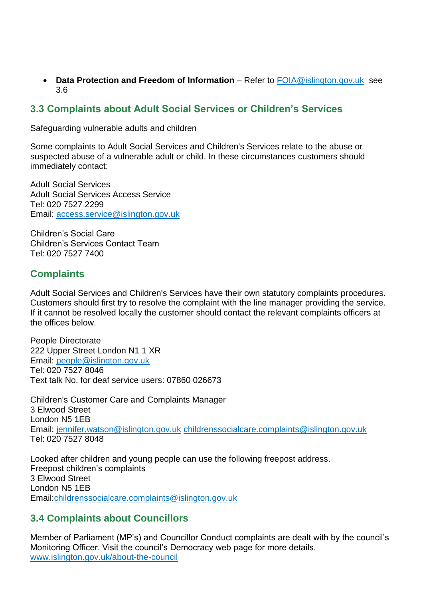**• Data Protection and Freedom of Information** – Refer to **FOIA@islington.gov.uk** see 3.6

# **3.3 Complaints about Adult Social Services or Children's Services**

Safeguarding vulnerable adults and children

Some complaints to Adult Social Services and Children's Services relate to the abuse or suspected abuse of a vulnerable adult or child. In these circumstances customers should immediately contact:

Adult Social Services Adult Social Services Access Service Tel: 020 7527 2299 Email: [access.service@islington.gov.uk](mailto:access.service@islington.gov.uk)

Children's Social Care Children's Services Contact Team Tel: 020 7527 7400

# **Complaints**

Adult Social Services and Children's Services have their own statutory complaints procedures. Customers should first try to resolve the complaint with the line manager providing the service. If it cannot be resolved locally the customer should contact the relevant complaints officers at the offices below.

People Directorate 222 Upper Street London N1 1 XR Email: [people@islington.gov.uk](mailto:people@islington.gov.uk) Tel: 020 7527 8046 Text talk No. for deaf service users: 07860 026673

Children's Customer Care and Complaints Manager 3 Elwood Street London N5 1EB Email: [jennifer.watson@islington.gov.uk](mailto:jennifer.watson@islington.gov.uk) [childrenssocialcare.complaints@islington.gov.uk](mailto:childrenssocialcare.complaints@islington.gov.uk) Tel: 020 7527 8048

Looked after children and young people can use the following freepost address. Freepost children's complaints 3 Elwood Street London N5 1EB Email[:childrenssocialcare.complaints@islington.gov.uk](mailto:childrenssocialcare.complaints@islington.gov.uk)

# **3.4 Complaints about Councillors**

Member of Parliament (MP's) and Councillor Conduct complaints are dealt with by the council's Monitoring Officer. Visit the council's Democracy web page for more details. [www.islington.gov.uk/about-the-council](http://www.islington.gov.uk/about-the-council)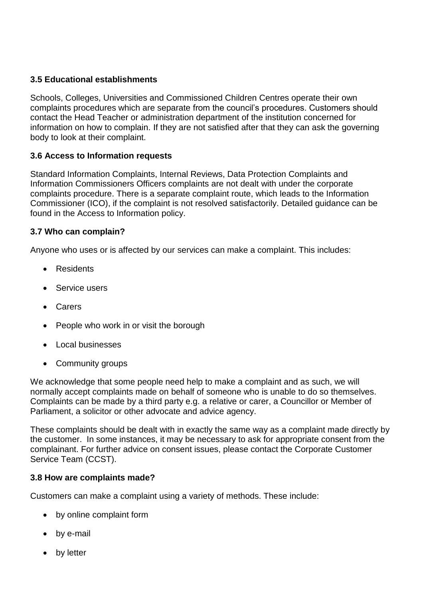## **3.5 Educational establishments**

Schools, Colleges, Universities and Commissioned Children Centres operate their own complaints procedures which are separate from the council's procedures. Customers should contact the Head Teacher or administration department of the institution concerned for information on how to complain. If they are not satisfied after that they can ask the governing body to look at their complaint.

## **3.6 Access to Information requests**

Standard Information Complaints, Internal Reviews, Data Protection Complaints and Information Commissioners Officers complaints are not dealt with under the corporate complaints procedure. There is a separate complaint route, which leads to the Information Commissioner (ICO), if the complaint is not resolved satisfactorily. Detailed guidance can be found in the Access to Information policy.

## **3.7 Who can complain?**

Anyone who uses or is affected by our services can make a complaint. This includes:

- Residents
- Service users
- Carers
- People who work in or visit the borough
- Local businesses
- Community groups

We acknowledge that some people need help to make a complaint and as such, we will normally accept complaints made on behalf of someone who is unable to do so themselves. Complaints can be made by a third party e.g. a relative or carer, a Councillor or Member of Parliament, a solicitor or other advocate and advice agency.

These complaints should be dealt with in exactly the same way as a complaint made directly by the customer. In some instances, it may be necessary to ask for appropriate consent from the complainant. For further advice on consent issues, please contact the Corporate Customer Service Team (CCST).

## **3.8 How are complaints made?**

Customers can make a complaint using a variety of methods. These include:

- by online complaint form
- by e-mail
- by letter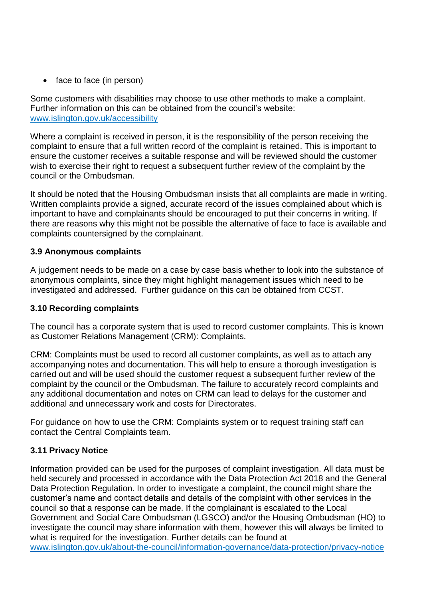• face to face (in person)

Some customers with disabilities may choose to use other methods to make a complaint. Further information on this can be obtained from the council's website: [www.islington.gov.uk/accessibility](http://www.islington.gov.uk/accessibility)

Where a complaint is received in person, it is the responsibility of the person receiving the complaint to ensure that a full written record of the complaint is retained. This is important to ensure the customer receives a suitable response and will be reviewed should the customer wish to exercise their right to request a subsequent further review of the complaint by the council or the Ombudsman.

It should be noted that the Housing Ombudsman insists that all complaints are made in writing. Written complaints provide a signed, accurate record of the issues complained about which is important to have and complainants should be encouraged to put their concerns in writing. If there are reasons why this might not be possible the alternative of face to face is available and complaints countersigned by the complainant.

## **3.9 Anonymous complaints**

A judgement needs to be made on a case by case basis whether to look into the substance of anonymous complaints, since they might highlight management issues which need to be investigated and addressed. Further guidance on this can be obtained from CCST.

## **3.10 Recording complaints**

The council has a corporate system that is used to record customer complaints. This is known as Customer Relations Management (CRM): Complaints.

CRM: Complaints must be used to record all customer complaints, as well as to attach any accompanying notes and documentation. This will help to ensure a thorough investigation is carried out and will be used should the customer request a subsequent further review of the complaint by the council or the Ombudsman. The failure to accurately record complaints and any additional documentation and notes on CRM can lead to delays for the customer and additional and unnecessary work and costs for Directorates.

For guidance on how to use the CRM: Complaints system or to request training staff can contact the Central Complaints team.

# **3.11 Privacy Notice**

Information provided can be used for the purposes of complaint investigation. All data must be held securely and processed in accordance with the Data Protection Act 2018 and the General Data Protection Regulation. In order to investigate a complaint, the council might share the customer's name and contact details and details of the complaint with other services in the council so that a response can be made. If the complainant is escalated to the Local Government and Social Care Ombudsman (LGSCO) and/or the Housing Ombudsman (HO) to investigate the council may share information with them, however this will always be limited to what is required for the investigation. Further details can be found at [www.islington.gov.uk/about-the-council/information-governance/data-protection/privacy-notice](http://www.islington.gov.uk/about-the-council/information-governance/data-protection/privacy-notice)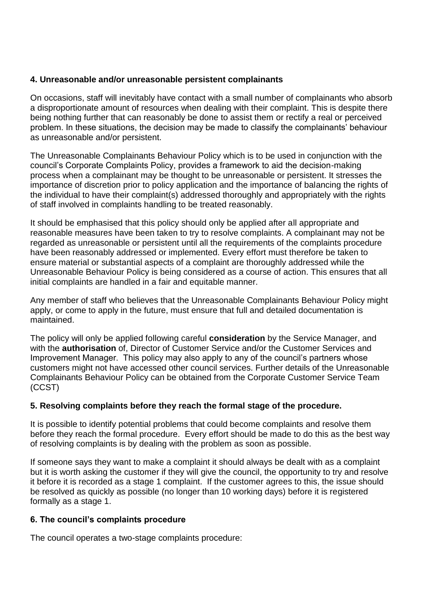#### **4. Unreasonable and/or unreasonable persistent complainants**

On occasions, staff will inevitably have contact with a small number of complainants who absorb a disproportionate amount of resources when dealing with their complaint. This is despite there being nothing further that can reasonably be done to assist them or rectify a real or perceived problem. In these situations, the decision may be made to classify the complainants' behaviour as unreasonable and/or persistent.

The Unreasonable Complainants Behaviour Policy which is to be used in conjunction with the council's Corporate Complaints Policy, provides a framework to aid the decision-making process when a complainant may be thought to be unreasonable or persistent. It stresses the importance of discretion prior to policy application and the importance of balancing the rights of the individual to have their complaint(s) addressed thoroughly and appropriately with the rights of staff involved in complaints handling to be treated reasonably.

It should be emphasised that this policy should only be applied after all appropriate and reasonable measures have been taken to try to resolve complaints. A complainant may not be regarded as unreasonable or persistent until all the requirements of the complaints procedure have been reasonably addressed or implemented. Every effort must therefore be taken to ensure material or substantial aspects of a complaint are thoroughly addressed while the Unreasonable Behaviour Policy is being considered as a course of action. This ensures that all initial complaints are handled in a fair and equitable manner.

Any member of staff who believes that the Unreasonable Complainants Behaviour Policy might apply, or come to apply in the future, must ensure that full and detailed documentation is maintained.

The policy will only be applied following careful **consideration** by the Service Manager, and with the **authorisation** of, Director of Customer Service and/or the Customer Services and Improvement Manager. This policy may also apply to any of the council's partners whose customers might not have accessed other council services. Further details of the Unreasonable Complainants Behaviour Policy can be obtained from the Corporate Customer Service Team (CCST)

## **5. Resolving complaints before they reach the formal stage of the procedure.**

It is possible to identify potential problems that could become complaints and resolve them before they reach the formal procedure. Every effort should be made to do this as the best way of resolving complaints is by dealing with the problem as soon as possible.

If someone says they want to make a complaint it should always be dealt with as a complaint but it is worth asking the customer if they will give the council, the opportunity to try and resolve it before it is recorded as a stage 1 complaint. If the customer agrees to this, the issue should be resolved as quickly as possible (no longer than 10 working days) before it is registered formally as a stage 1.

#### **6. The council's complaints procedure**

The council operates a two-stage complaints procedure: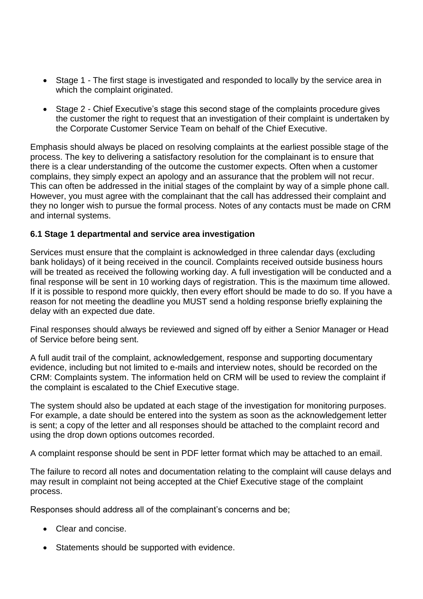- Stage 1 The first stage is investigated and responded to locally by the service area in which the complaint originated.
- Stage 2 Chief Executive's stage this second stage of the complaints procedure gives the customer the right to request that an investigation of their complaint is undertaken by the Corporate Customer Service Team on behalf of the Chief Executive.

Emphasis should always be placed on resolving complaints at the earliest possible stage of the process. The key to delivering a satisfactory resolution for the complainant is to ensure that there is a clear understanding of the outcome the customer expects. Often when a customer complains, they simply expect an apology and an assurance that the problem will not recur. This can often be addressed in the initial stages of the complaint by way of a simple phone call. However, you must agree with the complainant that the call has addressed their complaint and they no longer wish to pursue the formal process. Notes of any contacts must be made on CRM and internal systems.

## **6.1 Stage 1 departmental and service area investigation**

Services must ensure that the complaint is acknowledged in three calendar days (excluding bank holidays) of it being received in the council. Complaints received outside business hours will be treated as received the following working day. A full investigation will be conducted and a final response will be sent in 10 working days of registration. This is the maximum time allowed. If it is possible to respond more quickly, then every effort should be made to do so. If you have a reason for not meeting the deadline you MUST send a holding response briefly explaining the delay with an expected due date.

Final responses should always be reviewed and signed off by either a Senior Manager or Head of Service before being sent.

A full audit trail of the complaint, acknowledgement, response and supporting documentary evidence, including but not limited to e-mails and interview notes, should be recorded on the CRM: Complaints system. The information held on CRM will be used to review the complaint if the complaint is escalated to the Chief Executive stage.

The system should also be updated at each stage of the investigation for monitoring purposes. For example, a date should be entered into the system as soon as the acknowledgement letter is sent; a copy of the letter and all responses should be attached to the complaint record and using the drop down options outcomes recorded.

A complaint response should be sent in PDF letter format which may be attached to an email.

The failure to record all notes and documentation relating to the complaint will cause delays and may result in complaint not being accepted at the Chief Executive stage of the complaint process.

Responses should address all of the complainant's concerns and be;

- Clear and concise.
- Statements should be supported with evidence.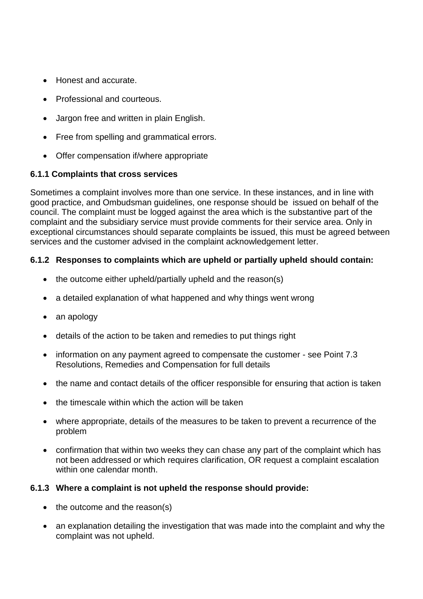- Honest and accurate.
- Professional and courteous.
- Jargon free and written in plain English.
- Free from spelling and grammatical errors.
- Offer compensation if/where appropriate

## **6.1.1 Complaints that cross services**

Sometimes a complaint involves more than one service. In these instances, and in line with good practice, and Ombudsman guidelines, one response should be issued on behalf of the council. The complaint must be logged against the area which is the substantive part of the complaint and the subsidiary service must provide comments for their service area. Only in exceptional circumstances should separate complaints be issued, this must be agreed between services and the customer advised in the complaint acknowledgement letter.

## **6.1.2 Responses to complaints which are upheld or partially upheld should contain:**

- $\bullet$  the outcome either upheld/partially upheld and the reason(s)
- a detailed explanation of what happened and why things went wrong
- an apology
- details of the action to be taken and remedies to put things right
- information on any payment agreed to compensate the customer see Point 7.3 Resolutions, Remedies and Compensation for full details
- the name and contact details of the officer responsible for ensuring that action is taken
- the timescale within which the action will be taken
- where appropriate, details of the measures to be taken to prevent a recurrence of the problem
- confirmation that within two weeks they can chase any part of the complaint which has not been addressed or which requires clarification, OR request a complaint escalation within one calendar month.

## **6.1.3 Where a complaint is not upheld the response should provide:**

- $\bullet$  the outcome and the reason(s)
- an explanation detailing the investigation that was made into the complaint and why the complaint was not upheld.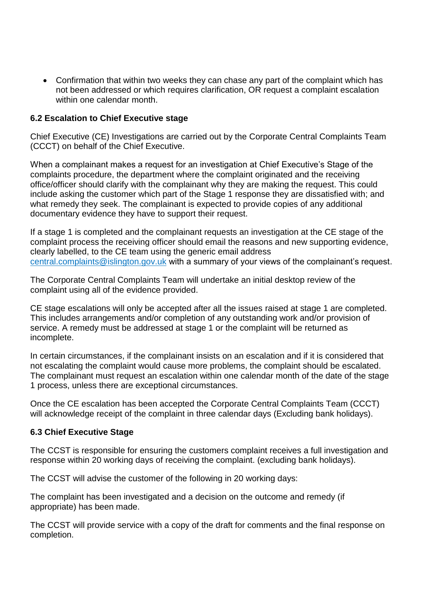• Confirmation that within two weeks they can chase any part of the complaint which has not been addressed or which requires clarification, OR request a complaint escalation within one calendar month.

#### **6.2 Escalation to Chief Executive stage**

Chief Executive (CE) Investigations are carried out by the Corporate Central Complaints Team (CCCT) on behalf of the Chief Executive.

When a complainant makes a request for an investigation at Chief Executive's Stage of the complaints procedure, the department where the complaint originated and the receiving office/officer should clarify with the complainant why they are making the request. This could include asking the customer which part of the Stage 1 response they are dissatisfied with; and what remedy they seek. The complainant is expected to provide copies of any additional documentary evidence they have to support their request.

If a stage 1 is completed and the complainant requests an investigation at the CE stage of the complaint process the receiving officer should email the reasons and new supporting evidence, clearly labelled, to the CE team using the generic email address [central.complaints@islington.gov.uk](mailto:central.complaints@islington.gov.uk) with a summary of your views of the complainant's request.

The Corporate Central Complaints Team will undertake an initial desktop review of the complaint using all of the evidence provided.

CE stage escalations will only be accepted after all the issues raised at stage 1 are completed. This includes arrangements and/or completion of any outstanding work and/or provision of service. A remedy must be addressed at stage 1 or the complaint will be returned as incomplete.

In certain circumstances, if the complainant insists on an escalation and if it is considered that not escalating the complaint would cause more problems, the complaint should be escalated. The complainant must request an escalation within one calendar month of the date of the stage 1 process, unless there are exceptional circumstances.

Once the CE escalation has been accepted the Corporate Central Complaints Team (CCCT) will acknowledge receipt of the complaint in three calendar days (Excluding bank holidays).

#### **6.3 Chief Executive Stage**

The CCST is responsible for ensuring the customers complaint receives a full investigation and response within 20 working days of receiving the complaint. (excluding bank holidays).

The CCST will advise the customer of the following in 20 working days:

The complaint has been investigated and a decision on the outcome and remedy (if appropriate) has been made.

The CCST will provide service with a copy of the draft for comments and the final response on completion.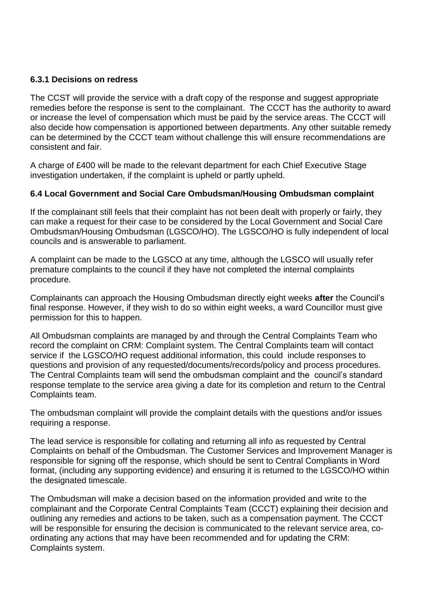#### **6.3.1 Decisions on redress**

The CCST will provide the service with a draft copy of the response and suggest appropriate remedies before the response is sent to the complainant. The CCCT has the authority to award or increase the level of compensation which must be paid by the service areas. The CCCT will also decide how compensation is apportioned between departments. Any other suitable remedy can be determined by the CCCT team without challenge this will ensure recommendations are consistent and fair.

A charge of £400 will be made to the relevant department for each Chief Executive Stage investigation undertaken, if the complaint is upheld or partly upheld.

#### **6.4 Local Government and Social Care Ombudsman/Housing Ombudsman complaint**

If the complainant still feels that their complaint has not been dealt with properly or fairly, they can make a request for their case to be considered by the Local Government and Social Care Ombudsman/Housing Ombudsman (LGSCO/HO). The LGSCO/HO is fully independent of local councils and is answerable to parliament.

A complaint can be made to the LGSCO at any time, although the LGSCO will usually refer premature complaints to the council if they have not completed the internal complaints procedure.

Complainants can approach the Housing Ombudsman directly eight weeks **after** the Council's final response. However, if they wish to do so within eight weeks, a ward Councillor must give permission for this to happen.

All Ombudsman complaints are managed by and through the Central Complaints Team who record the complaint on CRM: Complaint system. The Central Complaints team will contact service if the LGSCO/HO request additional information, this could include responses to questions and provision of any requested/documents/records/policy and process procedures. The Central Complaints team will send the ombudsman complaint and the council's standard response template to the service area giving a date for its completion and return to the Central Complaints team.

The ombudsman complaint will provide the complaint details with the questions and/or issues requiring a response.

The lead service is responsible for collating and returning all info as requested by Central Complaints on behalf of the Ombudsman. The Customer Services and Improvement Manager is responsible for signing off the response, which should be sent to Central Compliants in Word format, (including any supporting evidence) and ensuring it is returned to the LGSCO/HO within the designated timescale.

The Ombudsman will make a decision based on the information provided and write to the complainant and the Corporate Central Complaints Team (CCCT) explaining their decision and outlining any remedies and actions to be taken, such as a compensation payment. The CCCT will be responsible for ensuring the decision is communicated to the relevant service area, coordinating any actions that may have been recommended and for updating the CRM: Complaints system.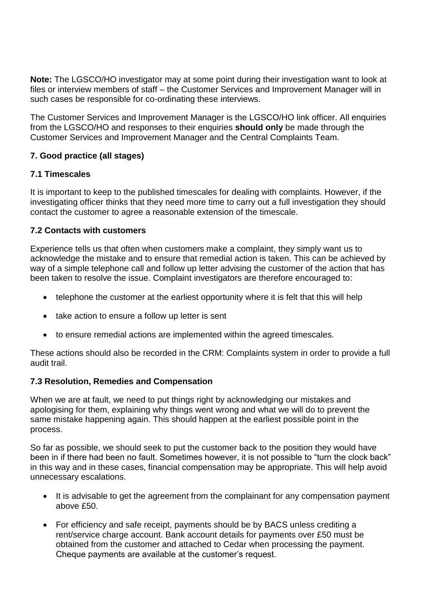**Note:** The LGSCO/HO investigator may at some point during their investigation want to look at files or interview members of staff – the Customer Services and Improvement Manager will in such cases be responsible for co-ordinating these interviews.

The Customer Services and Improvement Manager is the LGSCO/HO link officer. All enquiries from the LGSCO/HO and responses to their enquiries **should only** be made through the Customer Services and Improvement Manager and the Central Complaints Team.

## **7. Good practice (all stages)**

## **7.1 Timescales**

It is important to keep to the published timescales for dealing with complaints. However, if the investigating officer thinks that they need more time to carry out a full investigation they should contact the customer to agree a reasonable extension of the timescale.

## **7.2 Contacts with customers**

Experience tells us that often when customers make a complaint, they simply want us to acknowledge the mistake and to ensure that remedial action is taken. This can be achieved by way of a simple telephone call and follow up letter advising the customer of the action that has been taken to resolve the issue. Complaint investigators are therefore encouraged to:

- telephone the customer at the earliest opportunity where it is felt that this will help
- take action to ensure a follow up letter is sent
- to ensure remedial actions are implemented within the agreed timescales.

These actions should also be recorded in the CRM: Complaints system in order to provide a full audit trail.

## **7.3 Resolution, Remedies and Compensation**

When we are at fault, we need to put things right by acknowledging our mistakes and apologising for them, explaining why things went wrong and what we will do to prevent the same mistake happening again. This should happen at the earliest possible point in the process.

So far as possible, we should seek to put the customer back to the position they would have been in if there had been no fault. Sometimes however, it is not possible to "turn the clock back" in this way and in these cases, financial compensation may be appropriate. This will help avoid unnecessary escalations.

- It is advisable to get the agreement from the complainant for any compensation payment above £50.
- For efficiency and safe receipt, payments should be by BACS unless crediting a rent/service charge account. Bank account details for payments over £50 must be obtained from the customer and attached to Cedar when processing the payment. Cheque payments are available at the customer's request.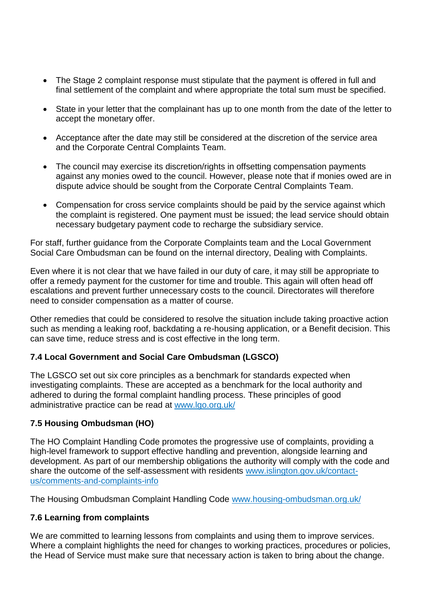- The Stage 2 complaint response must stipulate that the payment is offered in full and final settlement of the complaint and where appropriate the total sum must be specified.
- State in your letter that the complainant has up to one month from the date of the letter to accept the monetary offer.
- Acceptance after the date may still be considered at the discretion of the service area and the Corporate Central Complaints Team.
- The council may exercise its discretion/rights in offsetting compensation payments against any monies owed to the council. However, please note that if monies owed are in dispute advice should be sought from the Corporate Central Complaints Team.
- Compensation for cross service complaints should be paid by the service against which the complaint is registered. One payment must be issued; the lead service should obtain necessary budgetary payment code to recharge the subsidiary service.

For staff, further guidance from the Corporate Complaints team and the Local Government Social Care Ombudsman can be found on the internal directory, Dealing with Complaints.

Even where it is not clear that we have failed in our duty of care, it may still be appropriate to offer a remedy payment for the customer for time and trouble. This again will often head off escalations and prevent further unnecessary costs to the council. Directorates will therefore need to consider compensation as a matter of course.

Other remedies that could be considered to resolve the situation include taking proactive action such as mending a leaking roof, backdating a re-housing application, or a Benefit decision. This can save time, reduce stress and is cost effective in the long term.

## **7.4 Local Government and Social Care Ombudsman (LGSCO)**

The LGSCO set out six core principles as a benchmark for standards expected when investigating complaints. These are accepted as a benchmark for the local authority and adhered to during the formal complaint handling process. These principles of good administrative practice can be read at [www.lgo.org.uk/](http://www.lgo.org.uk/)

## **7.5 Housing Ombudsman (HO)**

The HO Complaint Handling Code promotes the progressive use of complaints, providing a high-level framework to support effective handling and prevention, alongside learning and development. As part of our membership obligations the authority will comply with the code and share the outcome of the self-assessment with residents [www.islington.gov.uk/contact](http://www.islington.gov.uk/contact-us/comments-and-complaints-info)[us/comments-and-complaints-info](http://www.islington.gov.uk/contact-us/comments-and-complaints-info)

The Housing Ombudsman Complaint Handling Code [www.housing-ombudsman.org.uk/](http://www.housing-ombudsman.org.uk/)

## **7.6 Learning from complaints**

We are committed to learning lessons from complaints and using them to improve services. Where a complaint highlights the need for changes to working practices, procedures or policies, the Head of Service must make sure that necessary action is taken to bring about the change.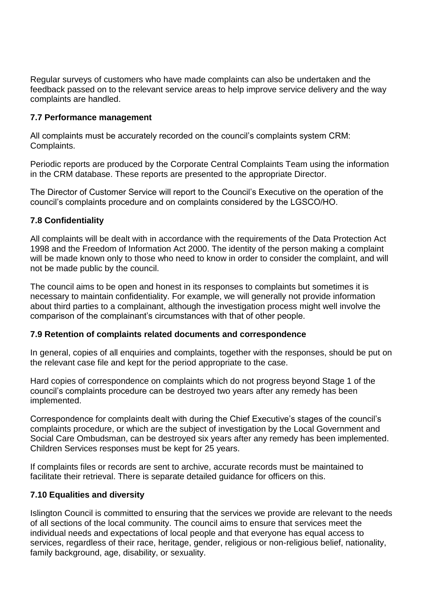Regular surveys of customers who have made complaints can also be undertaken and the feedback passed on to the relevant service areas to help improve service delivery and the way complaints are handled.

#### **7.7 Performance management**

All complaints must be accurately recorded on the council's complaints system CRM: Complaints.

Periodic reports are produced by the Corporate Central Complaints Team using the information in the CRM database. These reports are presented to the appropriate Director.

The Director of Customer Service will report to the Council's Executive on the operation of the council's complaints procedure and on complaints considered by the LGSCO/HO.

## **7.8 Confidentiality**

All complaints will be dealt with in accordance with the requirements of the Data Protection Act 1998 and the Freedom of Information Act 2000. The identity of the person making a complaint will be made known only to those who need to know in order to consider the complaint, and will not be made public by the council.

The council aims to be open and honest in its responses to complaints but sometimes it is necessary to maintain confidentiality. For example, we will generally not provide information about third parties to a complainant, although the investigation process might well involve the comparison of the complainant's circumstances with that of other people.

#### **7.9 Retention of complaints related documents and correspondence**

In general, copies of all enquiries and complaints, together with the responses, should be put on the relevant case file and kept for the period appropriate to the case.

Hard copies of correspondence on complaints which do not progress beyond Stage 1 of the council's complaints procedure can be destroyed two years after any remedy has been implemented.

Correspondence for complaints dealt with during the Chief Executive's stages of the council's complaints procedure, or which are the subject of investigation by the Local Government and Social Care Ombudsman, can be destroyed six years after any remedy has been implemented. Children Services responses must be kept for 25 years.

If complaints files or records are sent to archive, accurate records must be maintained to facilitate their retrieval. There is separate detailed guidance for officers on this.

## **7.10 Equalities and diversity**

Islington Council is committed to ensuring that the services we provide are relevant to the needs of all sections of the local community. The council aims to ensure that services meet the individual needs and expectations of local people and that everyone has equal access to services, regardless of their race, heritage, gender, religious or non-religious belief, nationality, family background, age, disability, or sexuality.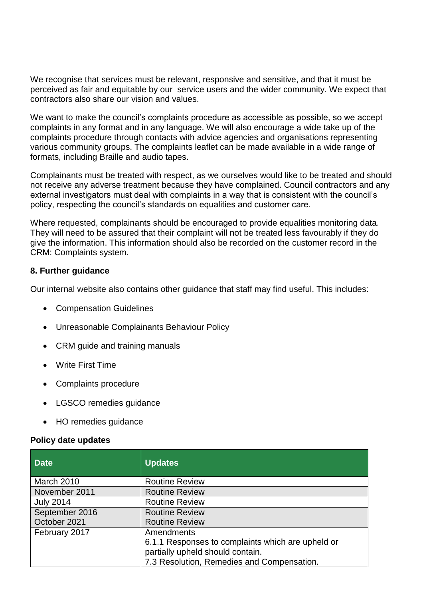We recognise that services must be relevant, responsive and sensitive, and that it must be perceived as fair and equitable by our service users and the wider community. We expect that contractors also share our vision and values.

We want to make the council's complaints procedure as accessible as possible, so we accept complaints in any format and in any language. We will also encourage a wide take up of the complaints procedure through contacts with advice agencies and organisations representing various community groups. The complaints leaflet can be made available in a wide range of formats, including Braille and audio tapes.

Complainants must be treated with respect, as we ourselves would like to be treated and should not receive any adverse treatment because they have complained. Council contractors and any external investigators must deal with complaints in a way that is consistent with the council's policy, respecting the council's standards on equalities and customer care.

Where requested, complainants should be encouraged to provide equalities monitoring data. They will need to be assured that their complaint will not be treated less favourably if they do give the information. This information should also be recorded on the customer record in the CRM: Complaints system.

#### **8. Further guidance**

Our internal website also contains other guidance that staff may find useful. This includes:

- Compensation Guidelines
- Unreasonable Complainants Behaviour Policy
- CRM guide and training manuals
- Write First Time
- Complaints procedure
- LGSCO remedies guidance
- HO remedies guidance

#### **Policy date updates**

| <b>Date</b>      | <b>Updates</b>                                    |
|------------------|---------------------------------------------------|
| March 2010       | <b>Routine Review</b>                             |
| November 2011    | <b>Routine Review</b>                             |
| <b>July 2014</b> | <b>Routine Review</b>                             |
| September 2016   | <b>Routine Review</b>                             |
| October 2021     | <b>Routine Review</b>                             |
| February 2017    | Amendments                                        |
|                  | 6.1.1 Responses to complaints which are upheld or |
|                  | partially upheld should contain.                  |
|                  | 7.3 Resolution, Remedies and Compensation.        |